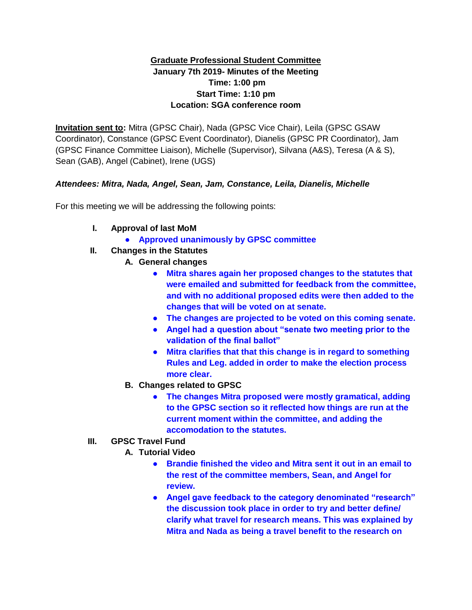## **Graduate Professional Student Committee January 7th 2019- Minutes of the Meeting Time: 1:00 pm Start Time: 1:10 pm Location: SGA conference room**

**Invitation sent to:** Mitra (GPSC Chair), Nada (GPSC Vice Chair), Leila (GPSC GSAW Coordinator), Constance (GPSC Event Coordinator), Dianelis (GPSC PR Coordinator), Jam (GPSC Finance Committee Liaison), Michelle (Supervisor), Silvana (A&S), Teresa (A & S), Sean (GAB), Angel (Cabinet), Irene (UGS)

## *Attendees: Mitra, Nada, Angel, Sean, Jam, Constance, Leila, Dianelis, Michelle*

For this meeting we will be addressing the following points:

- **I. Approval of last MoM**
	- **Approved unanimously by GPSC committee**
- **II. Changes in the Statutes**
	- **A. General changes**
		- **Mitra shares again her proposed changes to the statutes that were emailed and submitted for feedback from the committee, and with no additional proposed edits were then added to the changes that will be voted on at senate.**
		- **The changes are projected to be voted on this coming senate.**
		- **Angel had a question about "senate two meeting prior to the validation of the final ballot"**
		- **Mitra clarifies that that this change is in regard to something Rules and Leg. added in order to make the election process more clear.**
	- **B. Changes related to GPSC**
		- **The changes Mitra proposed were mostly gramatical, adding to the GPSC section so it reflected how things are run at the current moment within the committee, and adding the accomodation to the statutes.**
- **III. GPSC Travel Fund**
	- **A. Tutorial Video**
		- **Brandie finished the video and Mitra sent it out in an email to the rest of the committee members, Sean, and Angel for review.**
		- **Angel gave feedback to the category denominated "research" the discussion took place in order to try and better define/ clarify what travel for research means. This was explained by Mitra and Nada as being a travel benefit to the research on**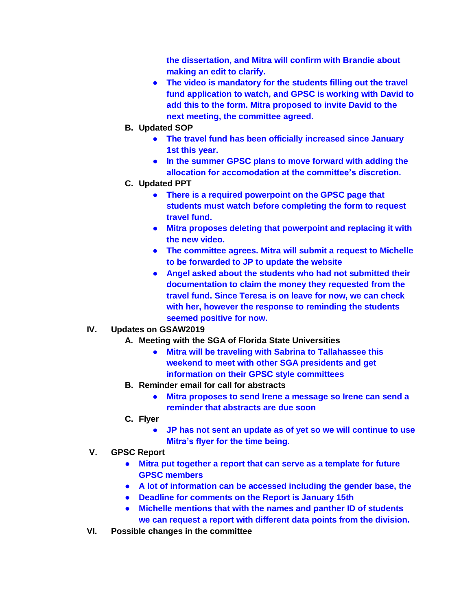**the dissertation, and Mitra will confirm with Brandie about making an edit to clarify.**

- **The video is mandatory for the students filling out the travel fund application to watch, and GPSC is working with David to add this to the form. Mitra proposed to invite David to the next meeting, the committee agreed.**
- **B. Updated SOP**
	- **The travel fund has been officially increased since January 1st this year.**
	- **In the summer GPSC plans to move forward with adding the allocation for accomodation at the committee's discretion.**
- **C. Updated PPT**
	- **There is a required powerpoint on the GPSC page that students must watch before completing the form to request travel fund.**
	- **Mitra proposes deleting that powerpoint and replacing it with the new video.**
	- **The committee agrees. Mitra will submit a request to Michelle to be forwarded to JP to update the website**
	- **Angel asked about the students who had not submitted their documentation to claim the money they requested from the travel fund. Since Teresa is on leave for now, we can check with her, however the response to reminding the students seemed positive for now.**
- **IV. Updates on GSAW2019**
	- **A. Meeting with the SGA of Florida State Universities**
		- **Mitra will be traveling with Sabrina to Tallahassee this weekend to meet with other SGA presidents and get information on their GPSC style committees**
	- **B. Reminder email for call for abstracts**
		- **Mitra proposes to send Irene a message so Irene can send a reminder that abstracts are due soon**
	- **C. Flyer**
		- **JP has not sent an update as of yet so we will continue to use Mitra's flyer for the time being.**
- **V. GPSC Report**
	- **Mitra put together a report that can serve as a template for future GPSC members**
	- **A lot of information can be accessed including the gender base, the**
	- **Deadline for comments on the Report is January 15th**
	- **Michelle mentions that with the names and panther ID of students we can request a report with different data points from the division.**
- **VI. Possible changes in the committee**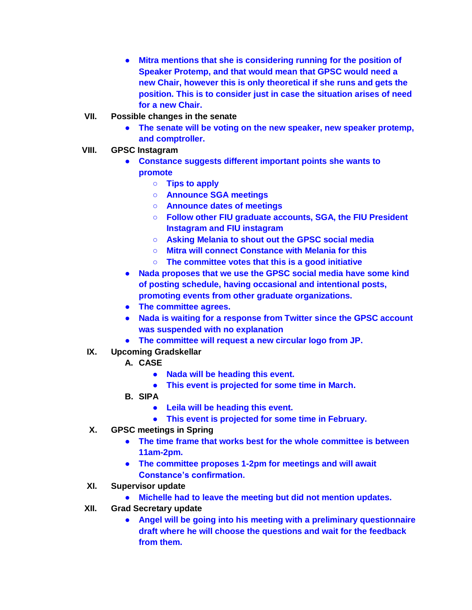- **Mitra mentions that she is considering running for the position of Speaker Protemp, and that would mean that GPSC would need a new Chair, however this is only theoretical if she runs and gets the position. This is to consider just in case the situation arises of need for a new Chair.**
- **VII. Possible changes in the senate**
	- **The senate will be voting on the new speaker, new speaker protemp, and comptroller.**
- **VIII. GPSC Instagram**
	- **Constance suggests different important points she wants to promote**
		- **Tips to apply**
		- **Announce SGA meetings**
		- **Announce dates of meetings**
		- **Follow other FIU graduate accounts, SGA, the FIU President Instagram and FIU instagram**
		- **Asking Melania to shout out the GPSC social media**
		- **Mitra will connect Constance with Melania for this**
		- **The committee votes that this is a good initiative**
	- **Nada proposes that we use the GPSC social media have some kind of posting schedule, having occasional and intentional posts, promoting events from other graduate organizations.**
	- **The committee agrees.**
	- **Nada is waiting for a response from Twitter since the GPSC account was suspended with no explanation**
	- **The committee will request a new circular logo from JP.**
- **IX. Upcoming Gradskellar**
	- **A. CASE**
		- **Nada will be heading this event.**
		- **This event is projected for some time in March.**
	- **B. SIPA**
		- **Leila will be heading this event.**
		- **This event is projected for some time in February.**
- **X. GPSC meetings in Spring**
	- **The time frame that works best for the whole committee is between 11am-2pm.**
	- **The committee proposes 1-2pm for meetings and will await Constance's confirmation.**
- **XI. Supervisor update**
	- **Michelle had to leave the meeting but did not mention updates.**
- **XII. Grad Secretary update**
	- **Angel will be going into his meeting with a preliminary questionnaire draft where he will choose the questions and wait for the feedback from them.**